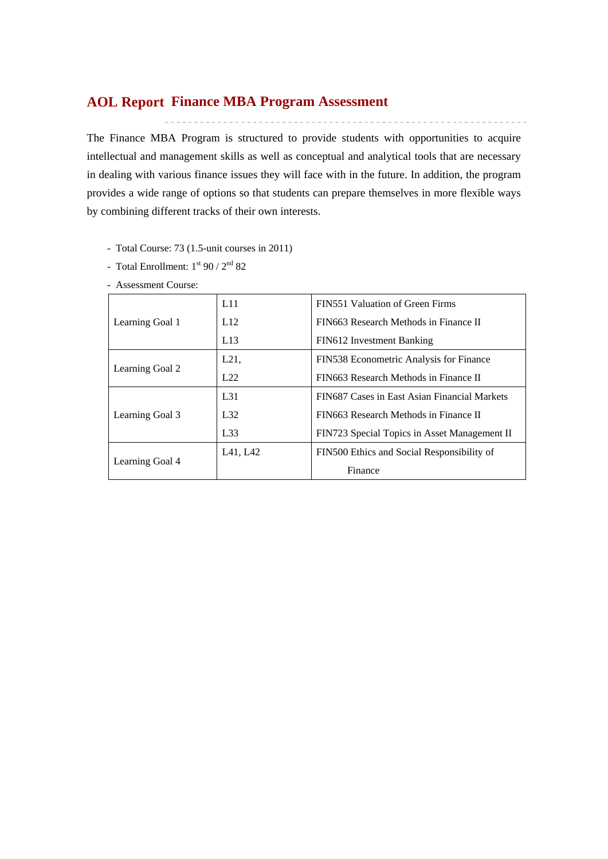## **Finance MBA Program Assessment AOL Report**

The Finance MBA Program is structured to provide students with opportunities to acquire intellectual and management skills as well as conceptual and analytical tools that are necessary in dealing with various finance issues they will face with in the future. In addition, the program provides a wide range of options so that students can prepare themselves in more flexible ways by combining different tracks of their own interests.

- Total Course: 73 (1.5-unit courses in 2011)
- Total Enrollment:  $1^{st}$  90 /  $2^{nd}$  82
- Assessment Course:

|                 | L11             | FIN551 Valuation of Green Firms              |  |  |  |  |
|-----------------|-----------------|----------------------------------------------|--|--|--|--|
| Learning Goal 1 | L12             | FIN663 Research Methods in Finance II        |  |  |  |  |
|                 | L13             | FIN612 Investment Banking                    |  |  |  |  |
| Learning Goal 2 | L21,            | FIN538 Econometric Analysis for Finance      |  |  |  |  |
|                 | 1.22            | FIN663 Research Methods in Finance II        |  |  |  |  |
|                 | L <sub>31</sub> | FIN687 Cases in East Asian Financial Markets |  |  |  |  |
| Learning Goal 3 | L32             | FIN663 Research Methods in Finance II        |  |  |  |  |
|                 | L33             | FIN723 Special Topics in Asset Management II |  |  |  |  |
|                 | L41, L42        | FIN500 Ethics and Social Responsibility of   |  |  |  |  |
| Learning Goal 4 |                 | Finance                                      |  |  |  |  |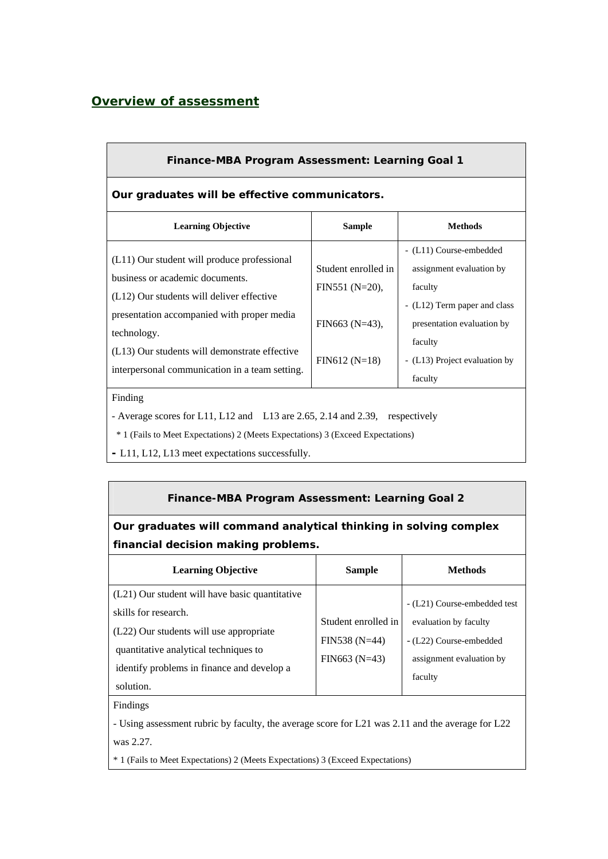# *Overview of assessment*

| <b>Finance-MBA Program Assessment: Learning Goal 1</b>                                                                      |                                        |                                                                                                |  |  |  |  |  |  |  |  |
|-----------------------------------------------------------------------------------------------------------------------------|----------------------------------------|------------------------------------------------------------------------------------------------|--|--|--|--|--|--|--|--|
| Our graduates will be effective communicators.                                                                              |                                        |                                                                                                |  |  |  |  |  |  |  |  |
| <b>Learning Objective</b>                                                                                                   | <b>Sample</b>                          | <b>Methods</b>                                                                                 |  |  |  |  |  |  |  |  |
| (L11) Our student will produce professional<br>business or academic documents.<br>(L12) Our students will deliver effective | Student enrolled in<br>$FIN551(N=20),$ | - (L11) Course-embedded<br>assignment evaluation by<br>faculty<br>- (L12) Term paper and class |  |  |  |  |  |  |  |  |
| presentation accompanied with proper media<br>technology.<br>(L13) Our students will demonstrate effective                  | FIN663 $(N=43)$ ,                      | presentation evaluation by<br>faculty                                                          |  |  |  |  |  |  |  |  |
| interpersonal communication in a team setting.                                                                              | $FIN612(N=18)$                         | - (L13) Project evaluation by<br>faculty                                                       |  |  |  |  |  |  |  |  |

#### Finding

- Average scores for L11, L12 and L13 are 2.65, 2.14 and 2.39, respectively

\* 1 (Fails to Meet Expectations) 2 (Meets Expectations) 3 (Exceed Expectations)

**-** L11, L12, L13 meet expectations successfully.

### **Finance-MBA Program Assessment: Learning Goal 2**

# **Our graduates will command analytical thinking in solving complex financial decision making problems.**

| <b>Learning Objective</b>                                                                                                                                                                                             | <b>Sample</b>                                           | <b>Methods</b>                                                                                                          |
|-----------------------------------------------------------------------------------------------------------------------------------------------------------------------------------------------------------------------|---------------------------------------------------------|-------------------------------------------------------------------------------------------------------------------------|
| (L21) Our student will have basic quantitative<br>skills for research.<br>(L22) Our students will use appropriate<br>quantitative analytical techniques to<br>identify problems in finance and develop a<br>solution. | Student enrolled in<br>FIN538 (N=44)<br>$FIN663 (N=43)$ | - (L21) Course-embedded test<br>evaluation by faculty<br>- (L22) Course-embedded<br>assignment evaluation by<br>faculty |

Findings

- Using assessment rubric by faculty, the average score for L21 was 2.11 and the average for L22 was 2.27.

\* 1 (Fails to Meet Expectations) 2 (Meets Expectations) 3 (Exceed Expectations)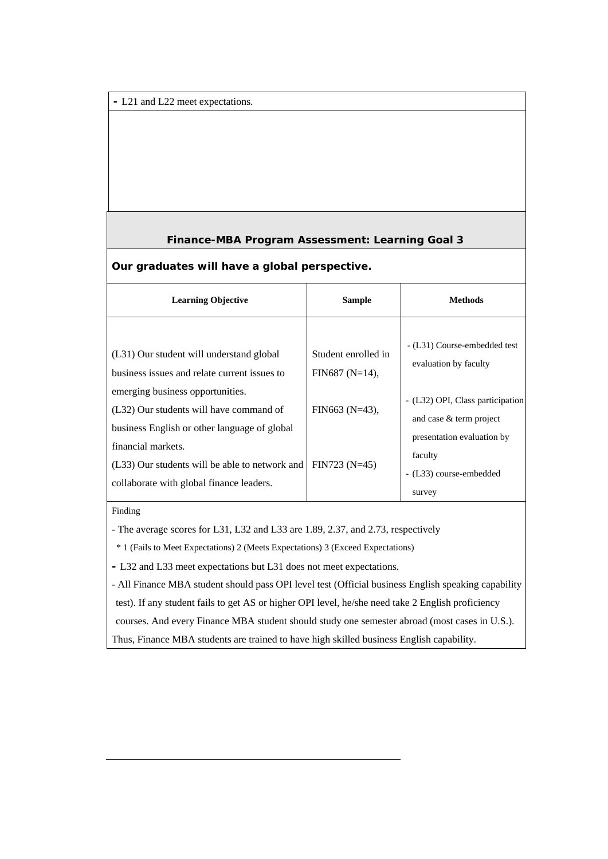**-** L21 and L22 meet expectations.

### **Finance-MBA Program Assessment: Learning Goal 3**

#### **Our graduates will have a global perspective.**

| <b>Learning Objective</b>                                                                                                                                                                                                                                                                                                                   | <b>Sample</b>                                                                 | <b>Methods</b>                                                                                                                                                                                     |
|---------------------------------------------------------------------------------------------------------------------------------------------------------------------------------------------------------------------------------------------------------------------------------------------------------------------------------------------|-------------------------------------------------------------------------------|----------------------------------------------------------------------------------------------------------------------------------------------------------------------------------------------------|
| (L31) Our student will understand global<br>business issues and relate current issues to<br>emerging business opportunities.<br>(L32) Our students will have command of<br>business English or other language of global<br>financial markets.<br>(L33) Our students will be able to network and<br>collaborate with global finance leaders. | Student enrolled in<br>FIN687 (N=14),<br>FIN663 $(N=43)$ ,<br>$FIN723 (N=45)$ | - (L31) Course-embedded test<br>evaluation by faculty<br>- (L32) OPI, Class participation<br>and case & term project<br>presentation evaluation by<br>faculty<br>- (L33) course-embedded<br>survey |

Finding

- The average scores for L31, L32 and L33 are 1.89, 2.37, and 2.73, respectively

\* 1 (Fails to Meet Expectations) 2 (Meets Expectations) 3 (Exceed Expectations)

**-** L32 and L33 meet expectations but L31 does not meet expectations.

- All Finance MBA student should pass OPI level test (Official business English speaking capability test). If any student fails to get AS or higher OPI level, he/she need take 2 English proficiency

courses. And every Finance MBA student should study one semester abroad (most cases in U.S.).

Thus, Finance MBA students are trained to have high skilled business English capability.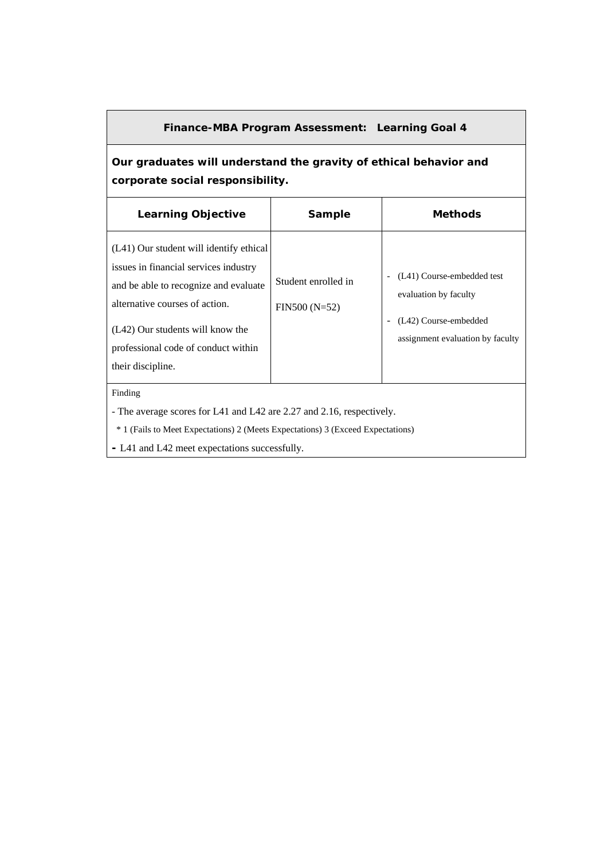### **Finance-MBA Program Assessment: Learning Goal 4**

**Our graduates will understand the gravity of ethical behavior and corporate social responsibility.** 

| <b>Learning Objective</b>                                                                                                                                                                                                                                   | Sample                                | <b>Methods</b>                                                                                                   |
|-------------------------------------------------------------------------------------------------------------------------------------------------------------------------------------------------------------------------------------------------------------|---------------------------------------|------------------------------------------------------------------------------------------------------------------|
| (L41) Our student will identify ethical<br>issues in financial services industry<br>and be able to recognize and evaluate<br>alternative courses of action.<br>(L42) Our students will know the<br>professional code of conduct within<br>their discipline. | Student enrolled in<br>$FIN500(N=52)$ | (L41) Course-embedded test<br>evaluation by faculty<br>(L42) Course-embedded<br>assignment evaluation by faculty |
| Finding                                                                                                                                                                                                                                                     |                                       |                                                                                                                  |

- The average scores for L41 and L42 are 2.27 and 2.16, respectively.

\* 1 (Fails to Meet Expectations) 2 (Meets Expectations) 3 (Exceed Expectations)

**-** L41 and L42 meet expectations successfully.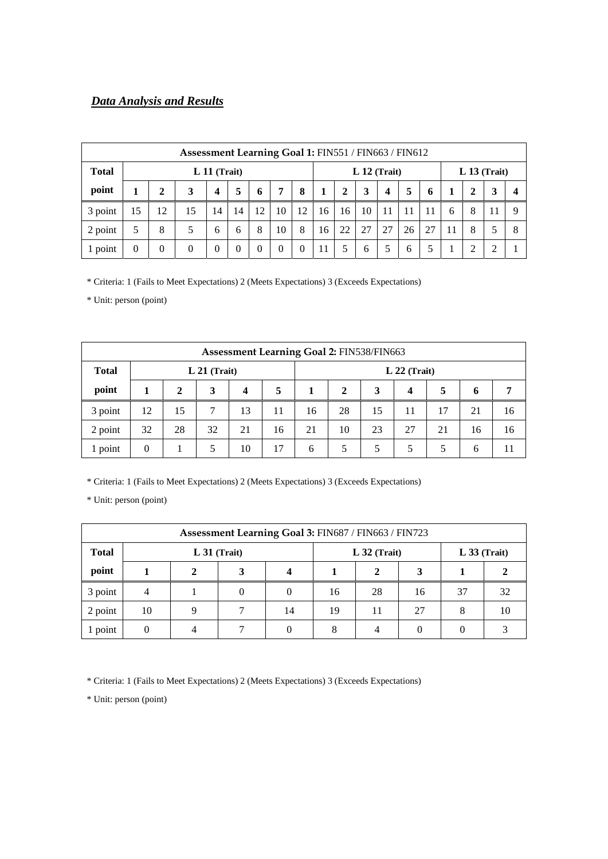## *Data Analysis and Results*

| Assessment Learning Goal 1: FIN551 / FIN663 / FIN612 |                |          |          |                         |              |    |          |    |                |              |    |    |    |                |    |   |    |  |
|------------------------------------------------------|----------------|----------|----------|-------------------------|--------------|----|----------|----|----------------|--------------|----|----|----|----------------|----|---|----|--|
| <b>Total</b>                                         | $L 11$ (Trait) |          |          |                         |              |    |          |    | $L 12$ (Trait) |              |    |    |    | $L 13$ (Trait) |    |   |    |  |
| point                                                |                | 2        | 3        | $\overline{\mathbf{4}}$ | 5            | 6  | 7        | 8  |                | $\mathbf{2}$ | 3  | 4  | 5  | 6              | 1  | 2 | 3  |  |
| 3 point                                              | 15             | 12       | 15       | 14                      | 14           | 12 | 10       | 12 | 16             | 16           | 10 | 11 |    | 11             | 6  | 8 | 11 |  |
| 2 point                                              | 5              | 8        | 5        | 6                       | 6            | 8  | 10       | 8  | 16             | 22           | 27 | 27 | 26 | 27             | 11 | 8 |    |  |
| 1 point                                              |                | $\theta$ | $\Omega$ | $\Omega$                | $\mathbf{0}$ | 0  | $\Omega$ | 0  | 11             | 5            | 6  | 5  | 6  | 5              |    | ◠ |    |  |

\* Criteria: 1 (Fails to Meet Expectations) 2 (Meets Expectations) 3 (Exceeds Expectations)

\* Unit: person (point)

| Assessment Learning Goal 2: FIN538/FIN663 |          |              |                                  |    |    |    |                       |    |    |    |    |    |
|-------------------------------------------|----------|--------------|----------------------------------|----|----|----|-----------------------|----|----|----|----|----|
| <b>Total</b>                              |          |              | $L 22$ (Trait)<br>$L 21$ (Trait) |    |    |    |                       |    |    |    |    |    |
| point                                     |          | $\mathbf{2}$ | 3                                | 4  | 5  |    | 5<br>3<br>2<br>4<br>6 |    |    |    |    |    |
| 3 point                                   | 12       | 15           |                                  | 13 | 11 | 16 | 28                    | 15 | 11 | 17 | 21 | 16 |
| 2 point                                   | 32       | 28           | 32                               | 21 | 16 | 21 | 10                    | 23 | 27 | 21 | 16 | 16 |
| 1 point                                   | $\theta$ |              | 5                                | 10 | 17 | 6  | 5                     | 5  | 5  | 5  | 6  |    |

\* Criteria: 1 (Fails to Meet Expectations) 2 (Meets Expectations) 3 (Exceeds Expectations)

\* Unit: person (point)

| Assessment Learning Goal 3: FIN687 / FIN663 / FIN723 |    |  |                |    |                |    |    |                |    |  |  |
|------------------------------------------------------|----|--|----------------|----|----------------|----|----|----------------|----|--|--|
| <b>Total</b>                                         |    |  | $L 31$ (Trait) |    | $L$ 32 (Trait) |    |    | $L$ 33 (Trait) |    |  |  |
| point                                                |    |  |                |    |                |    |    |                |    |  |  |
| 3 point                                              |    |  |                |    | 16             | 28 | 16 | 37             | 32 |  |  |
| 2 point                                              | 10 |  |                | 14 | 19             | 11 | 27 | 8              |    |  |  |
| point                                                |    |  |                |    | 8              |    |    |                |    |  |  |

\* Criteria: 1 (Fails to Meet Expectations) 2 (Meets Expectations) 3 (Exceeds Expectations)

\* Unit: person (point)